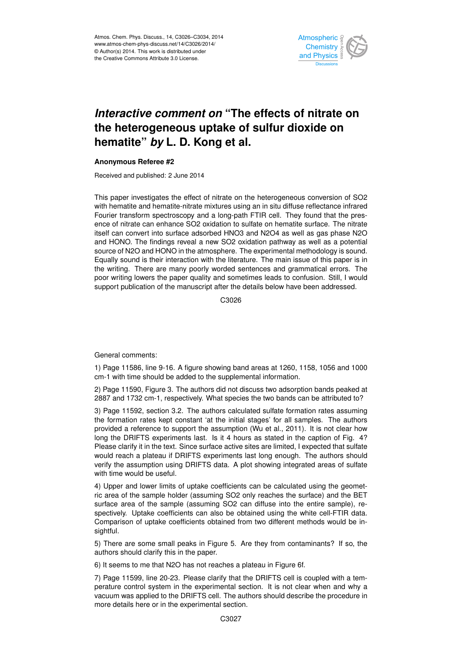

## *Interactive comment on* **"The effects of nitrate on the heterogeneous uptake of sulfur dioxide on hematite"** *by* **L. D. Kong et al.**

## **Anonymous Referee #2**

Received and published: 2 June 2014

This paper investigates the effect of nitrate on the heterogeneous conversion of SO2 with hematite and hematite-nitrate mixtures using an in situ diffuse reflectance infrared Fourier transform spectroscopy and a long-path FTIR cell. They found that the presence of nitrate can enhance SO2 oxidation to sulfate on hematite surface. The nitrate itself can convert into surface adsorbed HNO3 and N2O4 as well as gas phase N2O and HONO. The findings reveal a new SO2 oxidation pathway as well as a potential source of N2O and HONO in the atmosphere. The experimental methodology is sound. Equally sound is their interaction with the literature. The main issue of this paper is in the writing. There are many poorly worded sentences and grammatical errors. The poor writing lowers the paper quality and sometimes leads to confusion. Still, I would support publication of the manuscript after the details below have been addressed.

C3026

General comments:

1) Page 11586, line 9-16. A figure showing band areas at 1260, 1158, 1056 and 1000 cm-1 with time should be added to the supplemental information.

2) Page 11590, Figure 3. The authors did not discuss two adsorption bands peaked at 2887 and 1732 cm-1, respectively. What species the two bands can be attributed to?

3) Page 11592, section 3.2. The authors calculated sulfate formation rates assuming the formation rates kept constant 'at the initial stages' for all samples. The authors provided a reference to support the assumption (Wu et al., 2011). It is not clear how long the DRIFTS experiments last. Is it 4 hours as stated in the caption of Fig. 4? Please clarify it in the text. Since surface active sites are limited, I expected that sulfate would reach a plateau if DRIFTS experiments last long enough. The authors should verify the assumption using DRIFTS data. A plot showing integrated areas of sulfate with time would be useful.

4) Upper and lower limits of uptake coefficients can be calculated using the geometric area of the sample holder (assuming SO2 only reaches the surface) and the BET surface area of the sample (assuming SO2 can diffuse into the entire sample), respectively. Uptake coefficients can also be obtained using the white cell-FTIR data. Comparison of uptake coefficients obtained from two different methods would be insightful.

5) There are some small peaks in Figure 5. Are they from contaminants? If so, the authors should clarify this in the paper.

6) It seems to me that N2O has not reaches a plateau in Figure 6f.

7) Page 11599, line 20-23. Please clarify that the DRIFTS cell is coupled with a temperature control system in the experimental section. It is not clear when and why a vacuum was applied to the DRIFTS cell. The authors should describe the procedure in more details here or in the experimental section.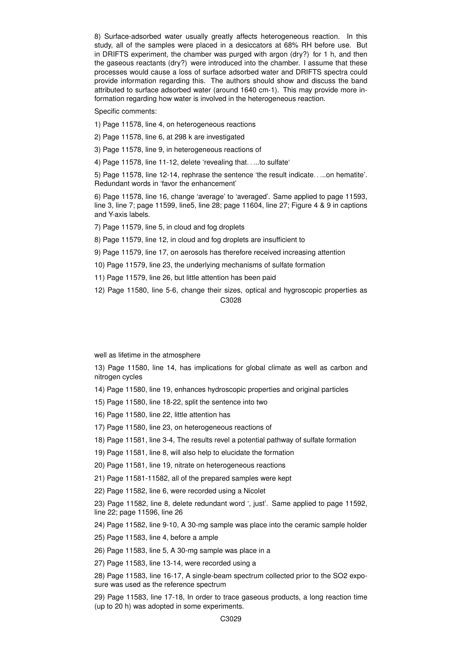8) Surface-adsorbed water usually greatly affects heterogeneous reaction. In this study, all of the samples were placed in a desiccators at 68% RH before use. But in DRIFTS experiment, the chamber was purged with argon (dry?) for 1 h, and then the gaseous reactants (dry?) were introduced into the chamber. I assume that these processes would cause a loss of surface adsorbed water and DRIFTS spectra could provide information regarding this. The authors should show and discuss the band attributed to surface adsorbed water (around 1640 cm-1). This may provide more information regarding how water is involved in the heterogeneous reaction.

Specific comments:

- 1) Page 11578, line 4, on heterogeneous reactions
- 2) Page 11578, line 6, at 298 k are investigated
- 3) Page 11578, line 9, in heterogeneous reactions of
- 4) Page 11578, line 11-12, delete 'revealing that. . ...to sulfate'

5) Page 11578, line 12-14, rephrase the sentence 'the result indicate. . ...on hematite'. Redundant words in 'favor the enhancement'

6) Page 11578, line 16, change 'average' to 'averaged'. Same applied to page 11593, line 3, line 7; page 11599, line5, line 28; page 11604, line 27; Figure 4 & 9 in captions and Y-axis labels.

- 7) Page 11579, line 5, in cloud and fog droplets
- 8) Page 11579, line 12, in cloud and fog droplets are insufficient to
- 9) Page 11579, line 17, on aerosols has therefore received increasing attention
- 10) Page 11579, line 23, the underlying mechanisms of sulfate formation
- 11) Page 11579, line 26, but little attention has been paid
- 12) Page 11580, line 5-6, change their sizes, optical and hygroscopic properties as C3028

well as lifetime in the atmosphere

13) Page 11580, line 14, has implications for global climate as well as carbon and nitrogen cycles

- 14) Page 11580, line 19, enhances hydroscopic properties and original particles
- 15) Page 11580, line 18-22, split the sentence into two
- 16) Page 11580, line 22, little attention has
- 17) Page 11580, line 23, on heterogeneous reactions of
- 18) Page 11581, line 3-4, The results revel a potential pathway of sulfate formation
- 19) Page 11581, line 8, will also help to elucidate the formation
- 20) Page 11581, line 19, nitrate on heterogeneous reactions
- 21) Page 11581-11582, all of the prepared samples were kept
- 22) Page 11582, line 6, were recorded using a Nicolet

23) Page 11582, line 8, delete redundant word ', just'. Same applied to page 11592, line 22; page 11596, line 26

24) Page 11582, line 9-10, A 30-mg sample was place into the ceramic sample holder

25) Page 11583, line 4, before a ample

26) Page 11583, line 5, A 30-mg sample was place in a

27) Page 11583, line 13-14, were recorded using a

28) Page 11583, line 16-17, A single-beam spectrum collected prior to the SO2 exposure was used as the reference spectrum

29) Page 11583, line 17-18, In order to trace gaseous products, a long reaction time (up to 20 h) was adopted in some experiments.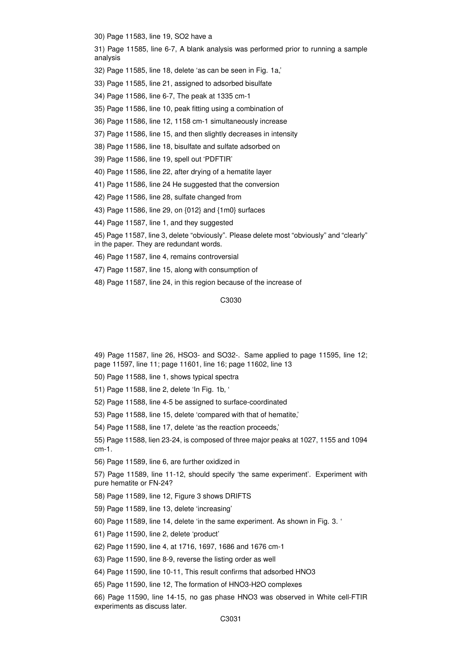30) Page 11583, line 19, SO2 have a

31) Page 11585, line 6-7, A blank analysis was performed prior to running a sample analysis

32) Page 11585, line 18, delete 'as can be seen in Fig. 1a,'

33) Page 11585, line 21, assigned to adsorbed bisulfate

34) Page 11586, line 6-7, The peak at 1335 cm-1

35) Page 11586, line 10, peak fitting using a combination of

36) Page 11586, line 12, 1158 cm-1 simultaneously increase

37) Page 11586, line 15, and then slightly decreases in intensity

38) Page 11586, line 18, bisulfate and sulfate adsorbed on

39) Page 11586, line 19, spell out 'PDFTIR'

40) Page 11586, line 22, after drying of a hematite layer

41) Page 11586, line 24 He suggested that the conversion

42) Page 11586, line 28, sulfate changed from

43) Page 11586, line 29, on {012} and {1m0} surfaces

44) Page 11587, line 1, and they suggested

45) Page 11587, line 3, delete "obviously". Please delete most "obviously" and "clearly" in the paper. They are redundant words.

46) Page 11587, line 4, remains controversial

47) Page 11587, line 15, along with consumption of

48) Page 11587, line 24, in this region because of the increase of

C3030

49) Page 11587, line 26, HSO3- and SO32-. Same applied to page 11595, line 12; page 11597, line 11; page 11601, line 16; page 11602, line 13

50) Page 11588, line 1, shows typical spectra

51) Page 11588, line 2, delete 'In Fig. 1b, '

52) Page 11588, line 4-5 be assigned to surface-coordinated

53) Page 11588, line 15, delete 'compared with that of hematite,'

54) Page 11588, line 17, delete 'as the reaction proceeds,'

55) Page 11588, lien 23-24, is composed of three major peaks at 1027, 1155 and 1094 cm-1.

56) Page 11589, line 6, are further oxidized in

57) Page 11589, line 11-12, should specify 'the same experiment'. Experiment with pure hematite or FN-24?

58) Page 11589, line 12, Figure 3 shows DRIFTS

59) Page 11589, line 13, delete 'increasing'

60) Page 11589, line 14, delete 'in the same experiment. As shown in Fig. 3. '

61) Page 11590, line 2, delete 'product'

62) Page 11590, line 4, at 1716, 1697, 1686 and 1676 cm-1

63) Page 11590, line 8-9, reverse the listing order as well

64) Page 11590, line 10-11, This result confirms that adsorbed HNO3

65) Page 11590, line 12, The formation of HNO3-H2O complexes

66) Page 11590, line 14-15, no gas phase HNO3 was observed in White cell-FTIR experiments as discuss later.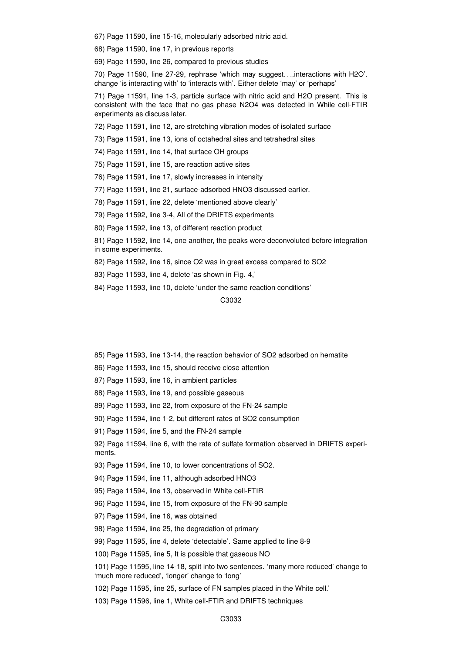67) Page 11590, line 15-16, molecularly adsorbed nitric acid.

68) Page 11590, line 17, in previous reports

69) Page 11590, line 26, compared to previous studies

70) Page 11590, line 27-29, rephrase 'which may suggest. . ..interactions with H2O'. change 'is interacting with' to 'interacts with'. Either delete 'may' or 'perhaps'

71) Page 11591, line 1-3, particle surface with nitric acid and H2O present. This is consistent with the face that no gas phase N2O4 was detected in While cell-FTIR experiments as discuss later.

72) Page 11591, line 12, are stretching vibration modes of isolated surface

73) Page 11591, line 13, ions of octahedral sites and tetrahedral sites

74) Page 11591, line 14, that surface OH groups

75) Page 11591, line 15, are reaction active sites

76) Page 11591, line 17, slowly increases in intensity

77) Page 11591, line 21, surface-adsorbed HNO3 discussed earlier.

78) Page 11591, line 22, delete 'mentioned above clearly'

79) Page 11592, line 3-4, All of the DRIFTS experiments

80) Page 11592, line 13, of different reaction product

81) Page 11592, line 14, one another, the peaks were deconvoluted before integration in some experiments.

82) Page 11592, line 16, since O2 was in great excess compared to SO2

83) Page 11593, line 4, delete 'as shown in Fig. 4,'

84) Page 11593, line 10, delete 'under the same reaction conditions'

C3032

85) Page 11593, line 13-14, the reaction behavior of SO2 adsorbed on hematite

86) Page 11593, line 15, should receive close attention

87) Page 11593, line 16, in ambient particles

88) Page 11593, line 19, and possible gaseous

89) Page 11593, line 22, from exposure of the FN-24 sample

90) Page 11594, line 1-2, but different rates of SO2 consumption

91) Page 11594, line 5, and the FN-24 sample

92) Page 11594, line 6, with the rate of sulfate formation observed in DRIFTS experiments.

93) Page 11594, line 10, to lower concentrations of SO2.

94) Page 11594, line 11, although adsorbed HNO3

95) Page 11594, line 13, observed in White cell-FTIR

96) Page 11594, line 15, from exposure of the FN-90 sample

97) Page 11594, line 16, was obtained

98) Page 11594, line 25, the degradation of primary

99) Page 11595, line 4, delete 'detectable'. Same applied to line 8-9

100) Page 11595, line 5, It is possible that gaseous NO

101) Page 11595, line 14-18, split into two sentences. 'many more reduced' change to 'much more reduced', 'longer' change to 'long'

102) Page 11595, line 25, surface of FN samples placed in the White cell.'

103) Page 11596, line 1, White cell-FTIR and DRIFTS techniques